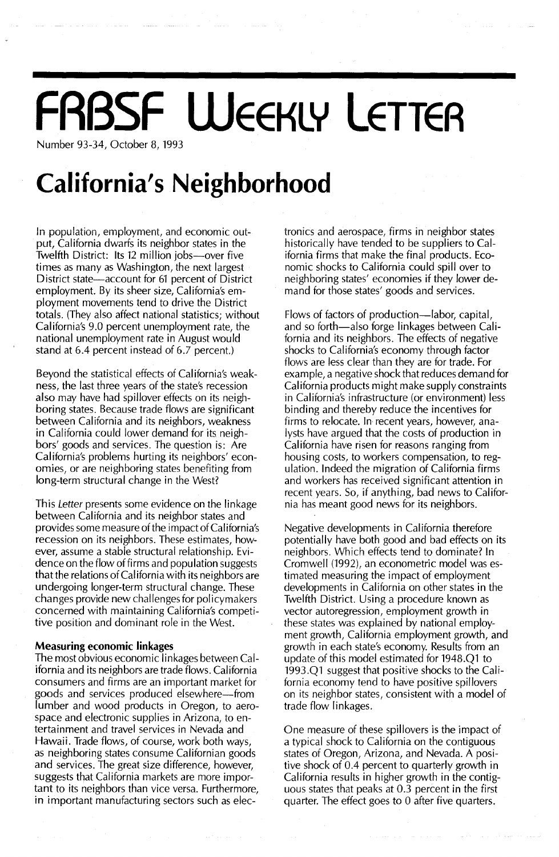# **FRBSF WEEKLY LETTER**

Number 93-34, October 8, 1993

## **California's Neighborhood**

In population, employment, and economic output, California dwarfs its neighbor states in the Twelfth District: Its 12 million jobs-over five times as many as Washington, the next largest District state-account for 61 percent of District employment. By its sheer size, California's employment movements tend to drive the District totals. (They also affect national statistics; without California's 9.0 percent unemployment rate, the national unemployment rate in August would stand at 6.4 percent instead of 6.7 percent.)

Beyond the statistical effects of California's weakness, the last three years of the state's recession also may have had spillover effects on its neighboring states. Because trade flows are significant between California and its neighbors, weakness in California could lower demand for its neighbors' goods and services. The question is: Are California's problems hurting its neighbors' economies, or are neighboring states benefiting from long-term structural change in the West?

This Letter presents some evidence on the linkage between California and its neighbor states and provides some measure of the impact of California's recession on its neighbors. These estimates, however, assume a stable structural relationship. Evidence on the flow of firms and population suggests that the relations of Cal ifornia with its neighbors are undergoing longer-term structural change. These changes provide new challenges for policymakers concerned with maintaining California's competitive position and dominant role in the West.

#### **Measuring economic linkages**

The most obvious economic linkages between California and its neighbors are trade flows. California consumers and firms are an important market for goods and services produced elsewhere-from lumber and wood products in Oregon, to aerospace and electronic supplies in Arizona, to entertainment and travel services in Nevada and Hawaii. Trade flows, of course, work both ways, as neighboring states consume Californian goods and services. The great size difference, however, suggests that California markets are more important to its neighbors than vice versa. Furthermore, in important manufacturing sectors such as electronics and aerospace, firms in neighbor states historically have tended to be suppliers to California firms that make the final products. Economic shocks to California could spill over to neighboring states' economies if they lower demand for those states' goods and services.

Flows of factors of production—labor, capital, and so forth-also forge linkages between California and its neighbors. The effects of negative shocks to California's economy through factor flows are less clear than they are for trade. For example, a negative shock that reduces demand for Cal ifornia products might make supply constraints in California's infrastructure (or environment) less binding and thereby reduce the incentives for firms to relocate. In recent years, however, analysts have argued that the costs of production in California have risen for reasons ranging from housing costs, to workers compensation, to regulation. Indeed the migration of California firms and workers has received significant attention in recent years. So, if anything, bad news to California has meant good news for its neighbors.

Negative developments in California therefore potentially have both good and bad effects on its neighbors. Which effects tend to dominate? In Cromwell (1992), an econometric model was estimated measuring the impact of employment developments in California on other states in the Twelfth District. Using a procedure known as vector autoregression, employment growth in these states was explained by national employment growth, California employment growth, and growth in each state's economy. Results from an update of this model estimated for 1948.Q1 to 1993.Q1 suggest that positive shocks to the California economy tend to have positive spillovers on its neighbor states, consistent with a model of trade flow linkages.

One measure of these spillovers is the impact of a typical shock to California on the contiguous states of Oregon, Arizona, and Nevada. A positive shock of 0.4 percent to quarterly growth in California results in higher growth in the contiguous states that peaks at 0.3 percent in the first quarter. The effect goes to 0 after five quarters.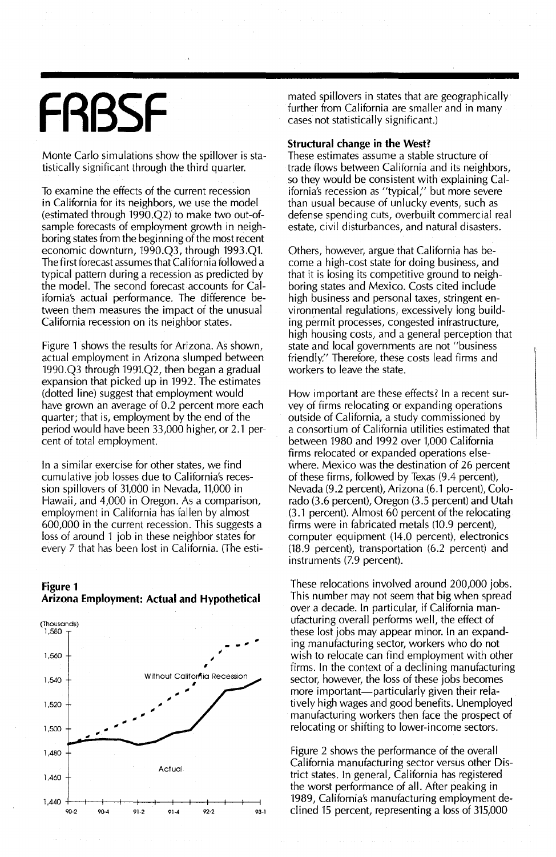Monte Carlo simulations show the spillover is statistically significant through the third quarter.

To examine the effects of the current recession in California for its neighbors, we use the model (estimated through 1990.Q2) to make two out-ofsample forecasts of employment growth in neighboring states from the beginning of the most recent economic downturn, 1990.Q3, through 1993.Q1. The first forecast assumes that California followed a typical pattern during a recession as predicted by the model. The second forecast accounts for California's actual performance. The difference between them measures the impact of the unusual California recession on its neighbor states.

Figure 1 shows the results for Arizona. As shown, actual employment in Arizona slumped between 1990.Q3 through 1991.Q2, then began a gradual expansion that picked up in 1992. The estimates (dotted line) suggest that employment would have grown an average of 0.2 percent more each quarter; that is, employment by the end of the period would have been 33,000 higher, or 2.1 percent of total employment.

In a similar exercise for other states, we find cumulative job losses due to California's recession spillovers of 31,000 in Nevada, 11,000 in Hawaii, and 4,000 in Oregon. As a comparison, employment in California has fallen by almost 600,000 in the current recession. This suggests a loss of around 1 job in these neighbor states for every 7 that has been lost in Califomia. (The esti-

#### **Figure 1 Arizona Employment: Actual and Hypothetical**



**FRBSF** mated spillovers in states that are geographically further from California are smaller and in many cases not statistically significant.) further from California are smaller and in many cases not statistically significant.)

#### **Structural change in the West?**

These estimates assume a stable structure of trade flows between California and its neighbors, so they would be consistent with explaining California's recession as "typical;' but more severe than usual because of unlucky events, such as defense spending cuts, overbuilt commercial real estate, civil disturbances, and natural disasters.

Others, however, argue that California has become a high-cost state for doing business, and that it is losing its competitive ground to neighboring states and Mexico. Costs cited include high business and personal taxes, stringent environmental regulations, excessively long building permit processes, congested infrastructure, high housing costs, and a general perception that state and local governments are not "business friendly:' Therefore, these costs lead firms and workers to leave the state.

How important are these effects? In a recent survey of firms relocating or expanding operations outside of California, a study commissioned by a consortium of California utilities estimated that between 1980 and 1992 over 1,000 California firms relocated or expanded operations elsewhere. Mexico was the destination of 26 percent of these firms, followed by Texas (9.4 percent), Nevada (9.2 percent), Arizona (6.1 percent), Colorado (3.6 percent), Oregon (3.5 percent) and Utah (3.1 percent). Almost 60 percent of the relocating firms were in fabricated metals (10.9 percent), computer equipment (14.0 percent), electronics  $(18.9$  percent), transportation  $(6.2$  percent) and instruments (7.9 percent).

These relocations involved around 200,000 jobs. This number may not seem that big when spread over a decade. In particular, if California manufacturing overall performs well, the effect of these lost jobs may appear minor. In an expanding manufacturing sector, workers who do not wish to relocate can find employment with other firms. In the context of a declining manufacturing sector, however, the loss of these jobs becomes more important—particularly given their relatively high wages and good benefits. Unemployed manufacturing workers then face the prospect of relocating or shifting to lower-income sectors.

Figure 2 shows the performance of the overall California manufacturing sector versus other District states. In general, California has registered the worst performance of all. After peaking in 1989, California's manufacturing employment de-93-1 clined 15 percent, representing a loss of 315,000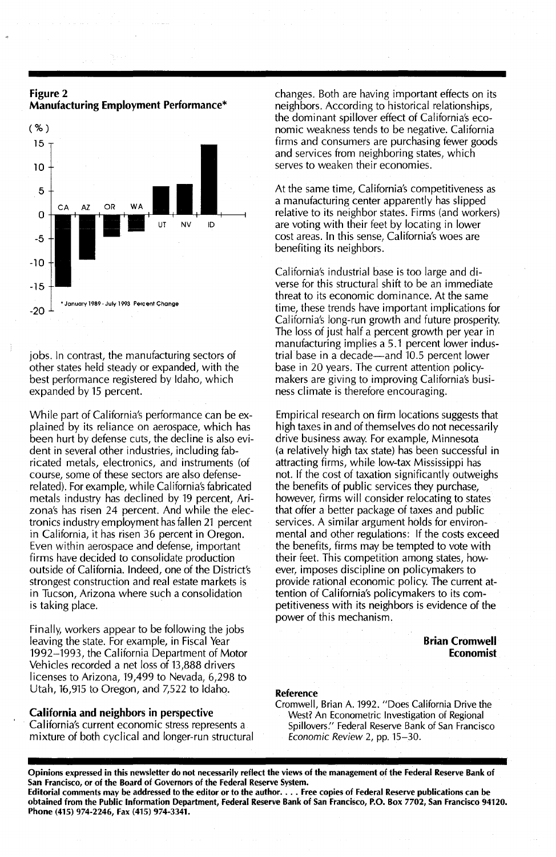

#### Figure 2 Manufacturing Employment Performance\*

jobs. In contrast, the manufacturing sectors of other states held steady or expanded, with the best performance registered by Idaho, which expanded by 15 percent.

While part of California's performance can be explained by its reliance on aerospace, which has been hurt by defense cuts, the decline is also evident in several other industries, including fabricated metals, electronics, and instruments (of course, some of these sectors are also defenserelated). For example, while California's fabricated metals industry has declined by 19 percent, Arizona's has risen 24 percent. And while the electronics industry employment has fallen 21 percent in California, it has risen 36 percent in Oregon. Even within aerospace and defense, important firms have decided to consolidate production outside of California. Indeed, one of the District's strongest construction and real estate markets is in Tucson, Arizona where such a consolidation is taking place.

Finally, workers appear to be following the jobs leaving the state. For example, in Fiscal Year 1992-1993, the California Department of Motor Vehicles recorded a net loss of 13,888 drivers licenses to Arizona, 19,499 to Nevada, 6,298 to Utah, 16,915 to Oregon, and 7,522 to Idaho.

#### California and neighbors in perspective

California's current economic stress represents a mixture of both cyclical and longer-run structural changes. Both are having important effects on its neighbors. According to historical relationships, the dominant spillover effect of California's economic weakness tends to be negative. California firms and consumers are purchasing fewer goods and services from neighboring states, which serves to weaken their economies.

At the same time, California's competitiveness as a manufacturing center apparently has slipped relative to its neighbor states. Firms (and workers) are voting with their feet by locating in lower cost areas. In this sense, California's woes are benefiting its neighbors.

California's industrial base is too large and diverse for this structural shift to be an immediate threat to its economic dominance. At the same time, these trends have important implications for California's long-run growth and future prosperity. The loss of just half a percent growth per year in manufacturing implies a 5.1 percent lower industrial base in a decade-and 10.5 percent lower base in 20 years. The current attention policymakers are giving to improving California's business climate is therefore encouraging.

Empirical research on firm locations suggests that high taxes in and of themselves do not necessarily drive business away. For example, Minnesota (a relatively high tax state) has been successful in attracting firms, while low-tax Mississippi has not. If the cost of taxation significantly outweighs the benefits of public services they purchase, however, firms will consider relocating to states that offer a better package of taxes and public services. A similar argument holds for environmental and other regulations: If the costs exceed the benefits, firms may be tempted to vote with their feet. This competition among states, however, imposes discipline on policymakers to provide rational economic policy. The current attention of California's policymakers to its competitiveness with its neighbors is evidence of the power of this mechanism.

> Brian Cromwell Economist

#### Reference

Cromwell, Brian A. 1992. "Does California Drive the West? An Econometric Investigation of Regional Spillovers:' Federal Reserve Bank of San Francisco *Economic Review* 2, pp. 15-30.

Opinions expressed in this newsletter do not necessarily reflect the views of the management of the Federal Reserve Bank of San Francisco, or of the Board of Governors of the Federal Reserve System. Editorial comments may be addressed to the editor or to the author.... Free copies of Federal Reserve publications can be

obtained from the Public Information Department, Federal Reserve Bank of San Francisco, P.O. Box 7702, San Francisco 94120. Phone (415) 974-2246, Fax (415) 974-3341.